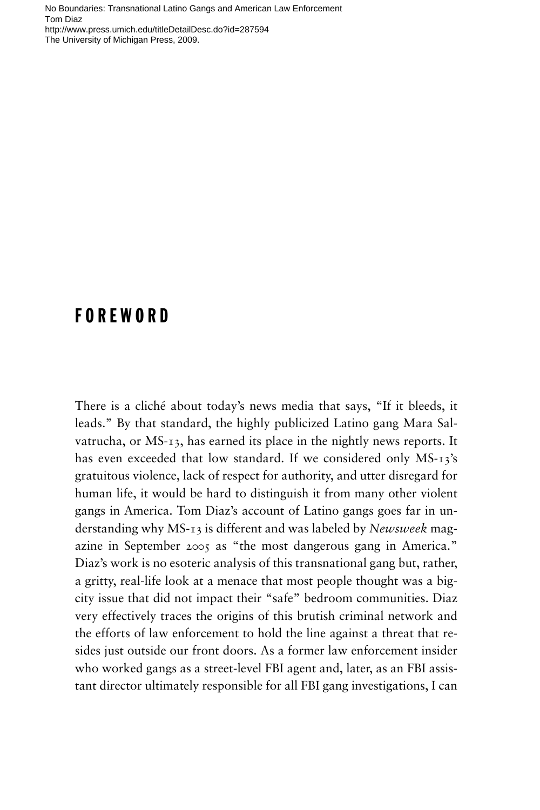[No Boundaries: Transnational Latino Gangs and American Law Enforcement](http://www.press.umich.edu/titleDetailDesc.do?id=287594)  Tom Diaz http://www.press.umich.edu/titleDetailDesc.do?id=287594 The University of Michigan Press, 2009.

## **FOREWORD**

There is a cliché about today's news media that says, "If it bleeds, it leads." By that standard, the highly publicized Latino gang Mara Salvatrucha, or MS-13, has earned its place in the nightly news reports. It has even exceeded that low standard. If we considered only MS-13's gratuitous violence, lack of respect for authority, and utter disregard for human life, it would be hard to distinguish it from many other violent gangs in America. Tom Diaz's account of Latino gangs goes far in understanding why MS-13 is different and was labeled by *Newsweek* magazine in September 2005 as "the most dangerous gang in America." Diaz's work is no esoteric analysis of this transnational gang but, rather, a gritty, real-life look at a menace that most people thought was a bigcity issue that did not impact their "safe" bedroom communities. Diaz very effectively traces the origins of this brutish criminal network and the efforts of law enforcement to hold the line against a threat that resides just outside our front doors. As a former law enforcement insider who worked gangs as a street-level FBI agent and, later, as an FBI assistant director ultimately responsible for all FBI gang investigations, I can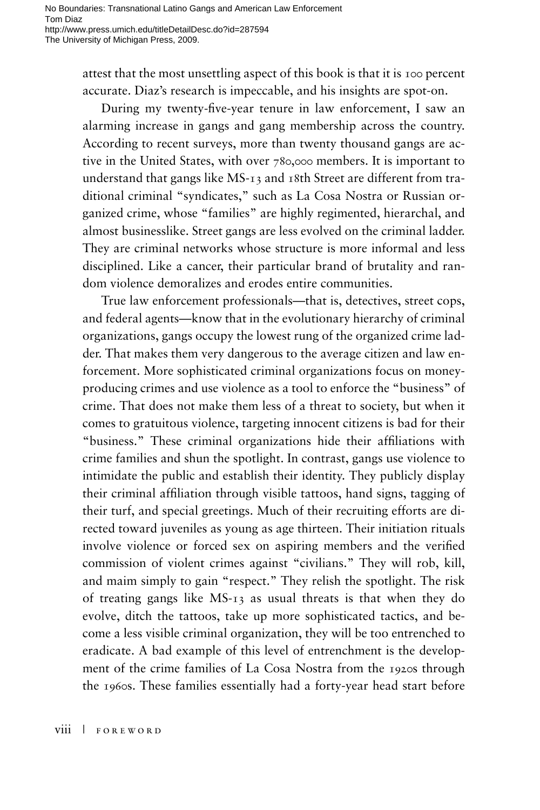attest that the most unsettling aspect of this book is that it is 100 percent accurate. Diaz's research is impeccable, and his insights are spot-on.

During my twenty-five-year tenure in law enforcement, I saw an alarming increase in gangs and gang membership across the country. According to recent surveys, more than twenty thousand gangs are active in the United States, with over 780,000 members. It is important to understand that gangs like MS-13 and 18th Street are different from traditional criminal "syndicates," such as La Cosa Nostra or Russian organized crime, whose "families" are highly regimented, hierarchal, and almost businesslike. Street gangs are less evolved on the criminal ladder. They are criminal networks whose structure is more informal and less disciplined. Like a cancer, their particular brand of brutality and random violence demoralizes and erodes entire communities.

True law enforcement professionals—that is, detectives, street cops, and federal agents—know that in the evolutionary hierarchy of criminal organizations, gangs occupy the lowest rung of the organized crime ladder. That makes them very dangerous to the average citizen and law enforcement. More sophisticated criminal organizations focus on moneyproducing crimes and use violence as a tool to enforce the "business" of crime. That does not make them less of a threat to society, but when it comes to gratuitous violence, targeting innocent citizens is bad for their "business." These criminal organizations hide their affiliations with crime families and shun the spotlight. In contrast, gangs use violence to intimidate the public and establish their identity. They publicly display their criminal affiliation through visible tattoos, hand signs, tagging of their turf, and special greetings. Much of their recruiting efforts are directed toward juveniles as young as age thirteen. Their initiation rituals involve violence or forced sex on aspiring members and the verified commission of violent crimes against "civilians." They will rob, kill, and maim simply to gain "respect." They relish the spotlight. The risk of treating gangs like MS-13 as usual threats is that when they do evolve, ditch the tattoos, take up more sophisticated tactics, and become a less visible criminal organization, they will be too entrenched to eradicate. A bad example of this level of entrenchment is the development of the crime families of La Cosa Nostra from the 1920s through the 1960s. These families essentially had a forty-year head start before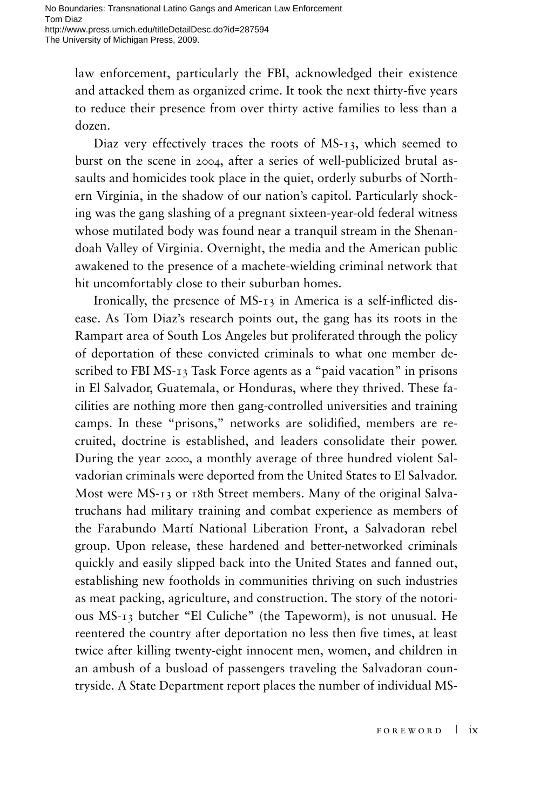No Boundaries: Transnational Latino Gangs and American Law Enforcement Tom Diaz http://www.press.umich.edu/titleDetailDesc.do?id=287594 The University of Michigan Press, 2009.

law enforcement, particularly the FBI, acknowledged their existence and attacked them as organized crime. It took the next thirty-five years to reduce their presence from over thirty active families to less than a dozen.

Diaz very effectively traces the roots of MS-13, which seemed to burst on the scene in 2004, after a series of well-publicized brutal assaults and homicides took place in the quiet, orderly suburbs of Northern Virginia, in the shadow of our nation's capitol. Particularly shocking was the gang slashing of a pregnant sixteen-year-old federal witness whose mutilated body was found near a tranquil stream in the Shenandoah Valley of Virginia. Overnight, the media and the American public awakened to the presence of a machete-wielding criminal network that hit uncomfortably close to their suburban homes.

Ironically, the presence of  $MS-13$  in America is a self-inflicted disease. As Tom Diaz's research points out, the gang has its roots in the Rampart area of South Los Angeles but proliferated through the policy of deportation of these convicted criminals to what one member described to FBI MS-13 Task Force agents as a "paid vacation" in prisons in El Salvador, Guatemala, or Honduras, where they thrived. These facilities are nothing more then gang-controlled universities and training camps. In these "prisons," networks are solidified, members are recruited, doctrine is established, and leaders consolidate their power. During the year 2000, a monthly average of three hundred violent Salvadorian criminals were deported from the United States to El Salvador. Most were MS-13 or 18th Street members. Many of the original Salvatruchans had military training and combat experience as members of the Farabundo Martí National Liberation Front, a Salvadoran rebel group. Upon release, these hardened and better-networked criminals quickly and easily slipped back into the United States and fanned out, establishing new footholds in communities thriving on such industries as meat packing, agriculture, and construction. The story of the notorious MS-13 butcher "El Culiche" (the Tapeworm), is not unusual. He reentered the country after deportation no less then five times, at least twice after killing twenty-eight innocent men, women, and children in an ambush of a busload of passengers traveling the Salvadoran countryside. A State Department report places the number of individual MS-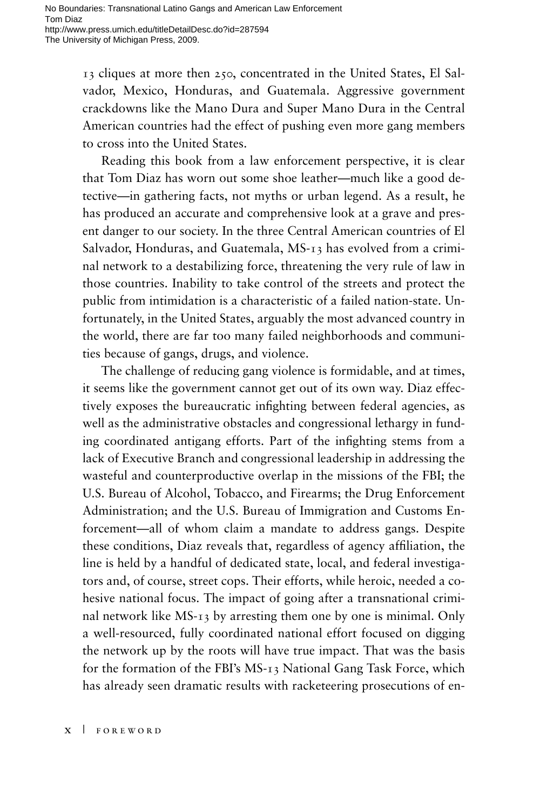13 cliques at more then 250, concentrated in the United States, El Salvador, Mexico, Honduras, and Guatemala. Aggressive government crackdowns like the Mano Dura and Super Mano Dura in the Central American countries had the effect of pushing even more gang members to cross into the United States.

Reading this book from a law enforcement perspective, it is clear that Tom Diaz has worn out some shoe leather—much like a good detective—in gathering facts, not myths or urban legend. As a result, he has produced an accurate and comprehensive look at a grave and present danger to our society. In the three Central American countries of El Salvador, Honduras, and Guatemala, MS-13 has evolved from a criminal network to a destabilizing force, threatening the very rule of law in those countries. Inability to take control of the streets and protect the public from intimidation is a characteristic of a failed nation-state. Unfortunately, in the United States, arguably the most advanced country in the world, there are far too many failed neighborhoods and communities because of gangs, drugs, and violence.

The challenge of reducing gang violence is formidable, and at times, it seems like the government cannot get out of its own way. Diaz effectively exposes the bureaucratic infighting between federal agencies, as well as the administrative obstacles and congressional lethargy in funding coordinated antigang efforts. Part of the infighting stems from a lack of Executive Branch and congressional leadership in addressing the wasteful and counterproductive overlap in the missions of the FBI; the U.S. Bureau of Alcohol, Tobacco, and Firearms; the Drug Enforcement Administration; and the U.S. Bureau of Immigration and Customs Enforcement—all of whom claim a mandate to address gangs. Despite these conditions, Diaz reveals that, regardless of agency affiliation, the line is held by a handful of dedicated state, local, and federal investigators and, of course, street cops. Their efforts, while heroic, needed a cohesive national focus. The impact of going after a transnational criminal network like MS-13 by arresting them one by one is minimal. Only a well-resourced, fully coordinated national effort focused on digging the network up by the roots will have true impact. That was the basis for the formation of the FBI's MS-13 National Gang Task Force, which has already seen dramatic results with racketeering prosecutions of en